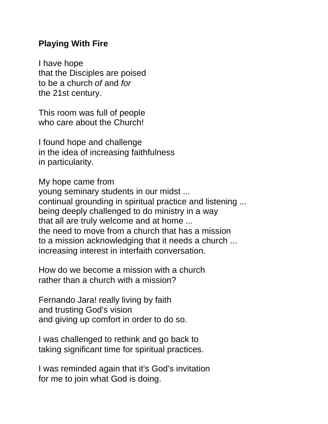## **Playing With Fire**

I have hope that the Disciples are poised to be a church *of* and *for* the 21st century.

This room was full of people who care about the Church!

I found hope and challenge in the idea of increasing faithfulness in particularity.

My hope came from young seminary students in our midst ... continual grounding in spiritual practice and listening ... being deeply challenged to do ministry in a way that all are truly welcome and at home ... the need to move from a church that has a mission to a mission acknowledging that it needs a church ... increasing interest in interfaith conversation.

How do we become a mission with a church rather than a church with a mission?

Fernando Jara! really living by faith and trusting God's vision and giving up comfort in order to do so.

I was challenged to rethink and go back to taking significant time for spiritual practices.

I was reminded again that it's God's invitation for me to join what God is doing.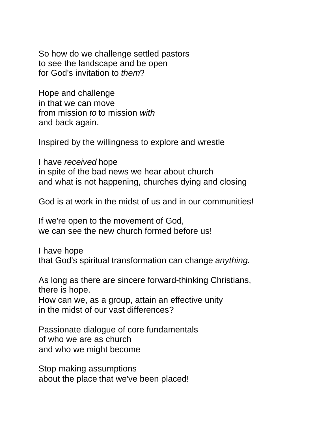So how do we challenge settled pastors to see the landscape and be open for God's invitation to *them*?

Hope and challenge in that we can move from mission *to* to mission *with* and back again.

Inspired by the willingness to explore and wrestle

I have *received* hope in spite of the bad news we hear about church and what is not happening, churches dying and closing

God is at work in the midst of us and in our communities!

If we're open to the movement of God, we can see the new church formed before us!

I have hope that God's spiritual transformation can change *anything*.

As long as there are sincere forward-thinking Christians, there is hope.

How can we, as a group, attain an effective unity in the midst of our vast differences?

Passionate dialogue of core fundamentals of who we are as church and who we might become

Stop making assumptions about the place that we've been placed!